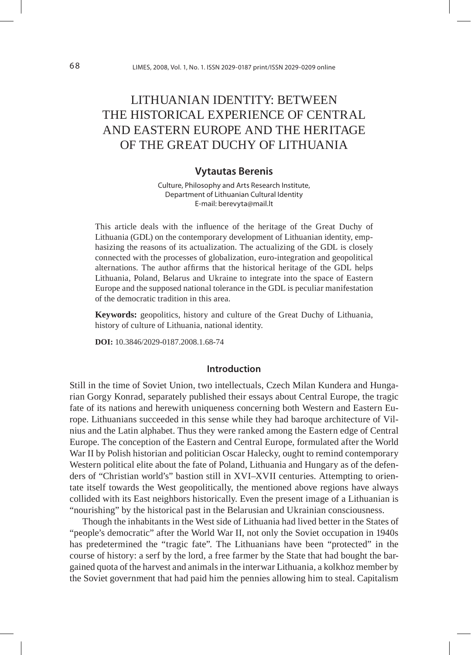# LITHUANIAN IDENTITY: BETWEEN THE HISTORICAL EXPERIENCE OF CENTRAL AND EASTERN EUROPE AND THE HERITAGE OF THE GREAT DUCHY OF LITHUANIA

## **Vytautas Berenis**

Culture, Philosophy and Arts Research Institute, Department of Lithuanian Cultural Identity E-mail: berevyta@mail.lt

This article deals with the influence of the heritage of the Great Duchy of Lithuania (GDL) on the contemporary development of Lithuanian identity, emphasizing the reasons of its actualization. The actualizing of the GDL is closely connected with the processes of globalization, euro-integration and geopolitical alternations. The author affirms that the historical heritage of the GDL helps Lithuania, Poland, Belarus and Ukraine to integrate into the space of Eastern Europe and the supposed national tolerance in the GDL is peculiar manifestation of the democratic tradition in this area.

**Keywords:** geopolitics, history and culture of the Great Duchy of Lithuania, history of culture of Lithuania, national identity.

**DOI:** 10.3846/2029-0187.2008.1.68-74

#### **Introduction**

Still in the time of Soviet Union, two intellectuals, Czech Milan Kundera and Hungarian Gorgy Konrad, separately published their essays about Central Europe, the tragic fate of its nations and herewith uniqueness concerning both Western and Eastern Europe. Lithuanians succeeded in this sense while they had baroque architecture of Vilnius and the Latin alphabet. Thus they were ranked among the Eastern edge of Central Europe. The conception of the Eastern and Central Europe, formulated after the World War II by Polish historian and politician Oscar Halecky, ought to remind contemporary Western political elite about the fate of Poland, Lithuania and Hungary as of the defenders of "Christian world's" bastion still in XVI–XVII centuries. Attempting to orientate itself towards the West geopolitically, the mentioned above regions have always collided with its East neighbors historically. Even the present image of a Lithuanian is "nourishing" by the historical past in the Belarusian and Ukrainian consciousness.

Though the inhabitants in the West side of Lithuania had lived better in the States of "people's democratic" after the World War II, not only the Soviet occupation in 1940s has predetermined the "tragic fate". The Lithuanians have been "protected" in the course of history: a serf by the lord, a free farmer by the State that had bought the bargained quota of the harvest and animals in the interwar Lithuania, a kolkhoz member by the Soviet government that had paid him the pennies allowing him to steal. Capitalism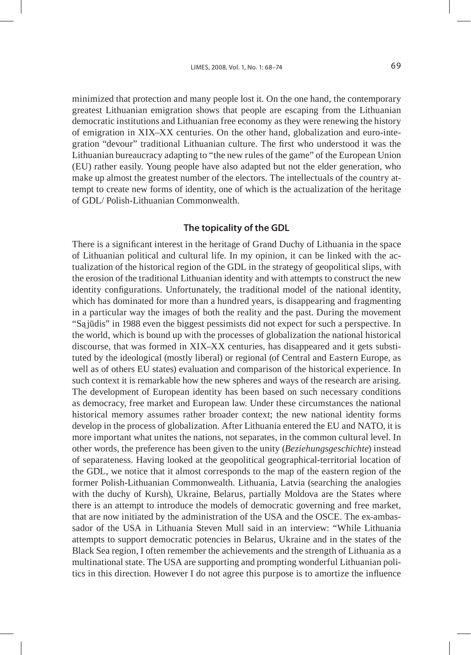minimized that protection and many people lost it. On the one hand, the contemporary greatest Lithuanian emigration shows that people are escaping from the Lithuanian democratic institutions and Lithuanian free economy as they were renewing the history of emigration in XIX–XX centuries. On the other hand, globalization and euro-integration "devour" traditional Lithuanian culture. The first who understood it was the Lithuanian bureaucracy adapting to "the new rules of the game" of the European Union (EU) rather easily. Young people have also adapted but not the elder generation, who make up almost the greatest number of the electors. The intellectuals of the country attempt to create new forms of identity, one of which is the actualization of the heritage of GDL/ Polish-Lithuanian Commonwealth.

## **The topicality of the GDL**

There is a significant interest in the heritage of Grand Duchy of Lithuania in the space of Lithuanian political and cultural life. In my opinion, it can be linked with the actualization of the historical region of the GDL in the strategy of geopolitical slips, with the erosion of the traditional Lithuanian identity and with attempts to construct the new identity configurations. Unfortunately, the traditional model of the national identity, which has dominated for more than a hundred years, is disappearing and fragmenting in a particular way the images of both the reality and the past. During the movement "Są jūdis" in 1988 even the biggest pessimists did not expect for such a perspective. In the world, which is bound up with the processes of globalization the national historical discourse, that was formed in XIX–XX centuries, has disappeared and it gets substituted by the ideological (mostly liberal) or regional (of Central and Eastern Europe, as well as of others EU states) evaluation and comparison of the historical experience. In such context it is remarkable how the new spheres and ways of the research are arising. The development of European identity has been based on such necessary conditions as democracy, free market and European law. Under these circumstances the national historical memory assumes rather broader context; the new national identity forms develop in the process of globalization. After Lithuania entered the EU and NATO, it is more important what unites the nations, not separates, in the common cultural level. In other words, the preference has been given to the unity (*Beziehungsgeschichte*) instead of separateness. Having looked at the geopolitical geographical-territorial location of the GDL, we notice that it almost corresponds to the map of the eastern region of the former Polish-Lithuanian Commonwealth. Lithuania, Latvia (searching the analogies with the duchy of Kursh), Ukraine, Belarus, partially Moldova are the States where there is an attempt to introduce the models of democratic governing and free market, that are now initiated by the administration of the USA and the OSCE. The ex-ambassador of the USA in Lithuania Steven Mull said in an interview: "While Lithuania attempts to support democratic potencies in Belarus, Ukraine and in the states of the Black Sea region, I often remember the achievements and the strength of Lithuania as a multinational state. The USA are supporting and prompting wonderful Lithuanian politics in this direction. However I do not agree this purpose is to amortize the influence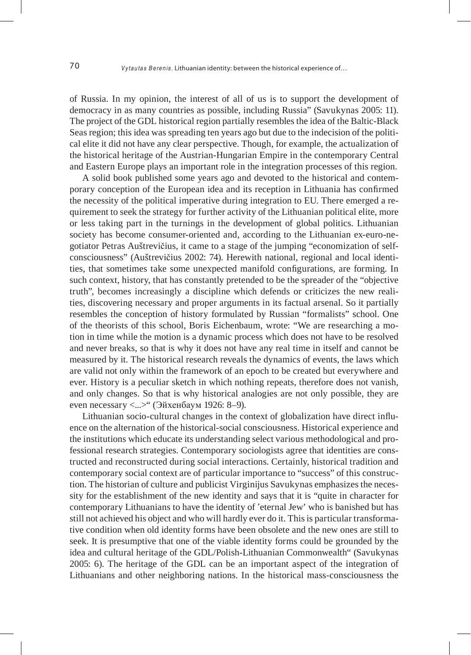of Russia. In my opinion, the interest of all of us is to support the development of democracy in as many countries as possible, including Russia" (Savukynas 2005: 11). The project of the GDL historical region partially resembles the idea of the Baltic-Black Seas region; this idea was spreading ten years ago but due to the indecision of the political elite it did not have any clear perspective. Though, for example, the actualization of the historical heritage of the Austrian-Hungarian Empire in the contemporary Central and Eastern Europe plays an important role in the integration processes of this region.

A solid book published some years ago and devoted to the historical and contemporary conception of the European idea and its reception in Lithuania has confirmed the necessity of the political imperative during integration to EU. There emerged a requirement to seek the strategy for further activity of the Lithuanian political elite, more or less taking part in the turnings in the development of global politics. Lithuanian society has become consumer-oriented and, according to the Lithuanian ex-euro-negotiator Petras Auštrevičius, it came to a stage of the jumping "economization of selfconsciousness" (Auštrevičius 2002: 74). Herewith national, regional and local identities, that sometimes take some unexpected manifold configurations, are forming. In such context, history, that has constantly pretended to be the spreader of the "objective truth", becomes increasingly a discipline which defends or criticizes the new realities, discovering necessary and proper arguments in its factual arsenal. So it partially resembles the conception of history formulated by Russian "formalists" school. One of the theorists of this school, Boris Eichenbaum, wrote: "We are researching a motion in time while the motion is a dynamic process which does not have to be resolved and never breaks, so that is why it does not have any real time in itself and cannot be measured by it. The historical research reveals the dynamics of events, the laws which are valid not only within the framework of an epoch to be created but everywhere and ever. History is a peculiar sketch in which nothing repeats, therefore does not vanish, and only changes. So that is why historical analogies are not only possible, they are even necessary <...>" (Эйхенбаум 1926: 8–9).

Lithuanian socio-cultural changes in the context of globalization have direct influence on the alternation of the historical-social consciousness. Historical experience and the institutions which educate its understanding select various methodological and professional research strategies. Contemporary sociologists agree that identities are constructed and reconstructed during social interactions. Certainly, historical tradition and contemporary social context are of particular importance to "success" of this construction. The historian of culture and publicist Virginijus Savukynas emphasizes the necessity for the establishment of the new identity and says that it is "quite in character for contemporary Lithuanians to have the identity of 'eternal Jew' who is banished but has still not achieved his object and who will hardly ever do it. This is particular transformative condition when old identity forms have been obsolete and the new ones are still to seek. It is presumptive that one of the viable identity forms could be grounded by the idea and cultural heritage of the GDL/Polish-Lithuanian Commonwealth" (Savukynas 2005: 6). The heritage of the GDL can be an important aspect of the integration of Lithuanians and other neighboring nations. In the historical mass-consciousness the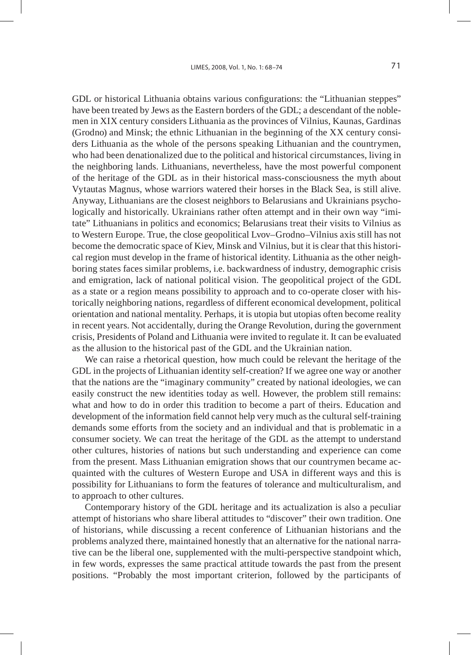GDL or historical Lithuania obtains various configurations: the "Lithuanian steppes" have been treated by Jews as the Eastern borders of the GDL; a descendant of the noblemen in XIX century considers Lithuania as the provinces of Vilnius, Kaunas, Gardinas (Grodno) and Minsk; the ethnic Lithuanian in the beginning of the XX century considers Lithuania as the whole of the persons speaking Lithuanian and the countrymen, who had been denationalized due to the political and historical circumstances, living in the neighboring lands. Lithuanians, nevertheless, have the most powerful component of the heritage of the GDL as in their historical mass-consciousness the myth about Vytautas Magnus, whose warriors watered their horses in the Black Sea, is still alive. Anyway, Lithuanians are the closest neighbors to Belarusians and Ukrainians psychologically and historically. Ukrainians rather often attempt and in their own way "imitate" Lithuanians in politics and economics; Belarusians treat their visits to Vilnius as to Western Europe. True, the close geopolitical Lvov–Grodno–Vilnius axis still has not become the democratic space of Kiev, Minsk and Vilnius, but it is clear that this historical region must develop in the frame of historical identity. Lithuania as the other neighboring states faces similar problems, i.e. backwardness of industry, demographic crisis and emigration, lack of national political vision. The geopolitical project of the GDL as a state or a region means possibility to approach and to co-operate closer with historically neighboring nations, regardless of different economical development, political orientation and national mentality. Perhaps, it is utopia but utopias often become reality in recent years. Not accidentally, during the Orange Revolution, during the government crisis, Presidents of Poland and Lithuania were invited to regulate it. It can be evaluated as the allusion to the historical past of the GDL and the Ukrainian nation.

We can raise a rhetorical question, how much could be relevant the heritage of the GDL in the projects of Lithuanian identity self-creation? If we agree one way or another that the nations are the "imaginary community" created by national ideologies, we can easily construct the new identities today as well. However, the problem still remains: what and how to do in order this tradition to become a part of theirs. Education and development of the information field cannot help very much as the cultural self-training demands some efforts from the society and an individual and that is problematic in a consumer society. We can treat the heritage of the GDL as the attempt to understand other cultures, histories of nations but such understanding and experience can come from the present. Mass Lithuanian emigration shows that our countrymen became acquainted with the cultures of Western Europe and USA in different ways and this is possibility for Lithuanians to form the features of tolerance and multiculturalism, and to approach to other cultures.

Contemporary history of the GDL heritage and its actualization is also a peculiar attempt of historians who share liberal attitudes to "discover" their own tradition. One of historians, while discussing a recent conference of Lithuanian historians and the problems analyzed there, maintained honestly that an alternative for the national narrative can be the liberal one, supplemented with the multi-perspective standpoint which, in few words, expresses the same practical attitude towards the past from the present positions. "Probably the most important criterion, followed by the participants of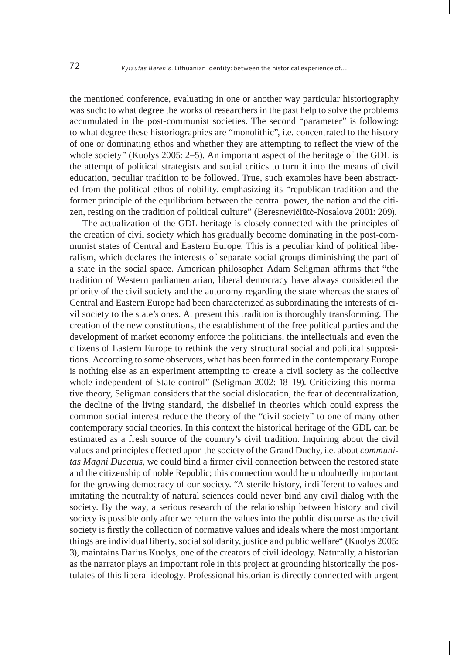the mentioned conference, evaluating in one or another way particular historiography was such: to what degree the works of researchers in the past help to solve the problems accumulated in the post-communist societies. The second "parameter" is following: to what degree these historiographies are "monolithic", i.e. concentrated to the history of one or dominating ethos and whether they are attempting to reflect the view of the whole society" (Kuolys 2005: 2–5). An important aspect of the heritage of the GDL is the attempt of political strategists and social critics to turn it into the means of civil education, peculiar tradition to be followed. True, such examples have been abstracted from the political ethos of nobility, emphasizing its "republican tradition and the former principle of the equilibrium between the central power, the nation and the citizen, resting on the tradition of political culture" (Beresnevičiūtė-Nosalova 2001: 209).

The actualization of the GDL heritage is closely connected with the principles of the creation of civil society which has gradually become dominating in the post-communist states of Central and Eastern Europe. This is a peculiar kind of political liberalism, which declares the interests of separate social groups diminishing the part of a state in the social space. American philosopher Adam Seligman affirms that "the tradition of Western parliamentarian, liberal democracy have always considered the priority of the civil society and the autonomy regarding the state whereas the states of Central and Eastern Europe had been characterized as subordinating the interests of civil society to the state's ones. At present this tradition is thoroughly transforming. The creation of the new constitutions, the establishment of the free political parties and the development of market economy enforce the politicians, the intellectuals and even the citizens of Eastern Europe to rethink the very structural social and political suppositions. According to some observers, what has been formed in the contemporary Europe is nothing else as an experiment attempting to create a civil society as the collective whole independent of State control" (Seligman 2002: 18–19). Criticizing this normative theory, Seligman considers that the social dislocation, the fear of decentralization, the decline of the living standard, the disbelief in theories which could express the common social interest reduce the theory of the "civil society" to one of many other contemporary social theories. In this context the historical heritage of the GDL can be estimated as a fresh source of the country's civil tradition. Inquiring about the civil values and principles effected upon the society of the Grand Duchy, i.e. about *communi*tas Magni Ducatus, we could bind a firmer civil connection between the restored state and the citizenship of noble Republic; this connection would be undoubtedly important for the growing democracy of our society. "A sterile history, indifferent to values and imitating the neutrality of natural sciences could never bind any civil dialog with the society. By the way, a serious research of the relationship between history and civil society is possible only after we return the values into the public discourse as the civil society is firstly the collection of normative values and ideals where the most important things are individual liberty, social solidarity, justice and public welfare" (Kuolys 2005: 3), maintains Darius Kuolys, one of the creators of civil ideology. Naturally, a historian as the narrator plays an important role in this project at grounding historically the postulates of this liberal ideology. Professional historian is directly connected with urgent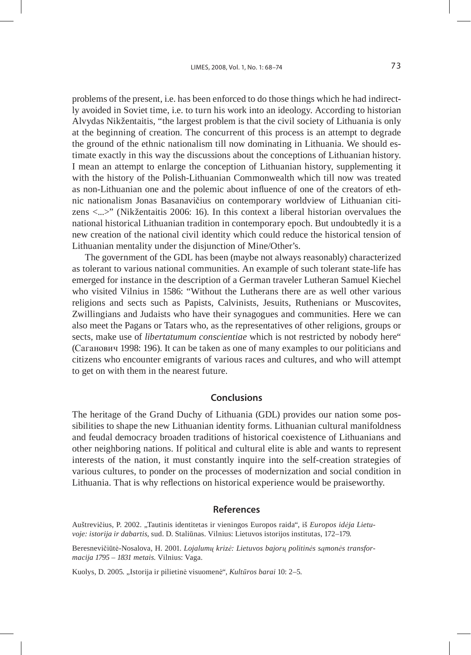problems of the present, i.e. has been enforced to do those things which he had indirectly avoided in Soviet time, i.e. to turn his work into an ideology. According to historian Alvydas Nikžentaitis, "the largest problem is that the civil society of Lithuania is only at the beginning of creation. The concurrent of this process is an attempt to degrade the ground of the ethnic nationalism till now dominating in Lithuania. We should estimate exactly in this way the discussions about the conceptions of Lithuanian history. I mean an attempt to enlarge the conception of Lithuanian history, supplementing it with the history of the Polish-Lithuanian Commonwealth which till now was treated as non-Lithuanian one and the polemic about influence of one of the creators of ethnic nationalism Jonas Basanavičius on contemporary worldview of Lithuanian citizens <...>" (Nikžentaitis 2006: 16). In this context a liberal historian overvalues the national historical Lithuanian tradition in contemporary epoch. But undoubtedly it is a new creation of the national civil identity which could reduce the historical tension of Lithuanian mentality under the disjunction of Mine/Other's.

The government of the GDL has been (maybe not always reasonably) characterized as tolerant to various national communities. An example of such tolerant state-life has emerged for instance in the description of a German traveler Lutheran Samuel Kiechel who visited Vilnius in 1586: "Without the Lutherans there are as well other various religions and sects such as Papists, Calvinists, Jesuits, Ruthenians or Muscovites, Zwillingians and Judaists who have their synagogues and communities. Here we can also meet the Pagans or Tatars who, as the representatives of other religions, groups or sects, make use of *libertatumum conscientiae* which is not restricted by nobody here" (Саганович 1998: 196). It can be taken as one of many examples to our politicians and citizens who encounter emigrants of various races and cultures, and who will attempt to get on with them in the nearest future.

#### **Conclusions**

The heritage of the Grand Duchy of Lithuania (GDL) provides our nation some possibilities to shape the new Lithuanian identity forms. Lithuanian cultural manifoldness and feudal democracy broaden traditions of historical coexistence of Lithuanians and other neighboring nations. If political and cultural elite is able and wants to represent interests of the nation, it must constantly inquire into the self-creation strategies of various cultures, to ponder on the processes of modernization and social condition in Lithuania. That is why reflections on historical experience would be praiseworthy.

#### **References**

Auštrevičius, P. 2002. "Tautinis identitetas ir vieningos Europos raida", iš *Europos idėja Lietuvoje: istorija ir dabartis*, sud. D. Staliūnas. Vilnius: Lietuvos istorijos institutas, 172–179.

Beresnevičiūtė-Nosalova, H. 2001. *Lojalumų krizė: Lietuvos bajorų politinės sąmonės transformacija 1795 – 1831 metais*. Vilnius: Vaga.

Kuolys, D. 2005. "Istorija ir pilietinė visuomenė", *Kultūros barai* 10: 2–5.